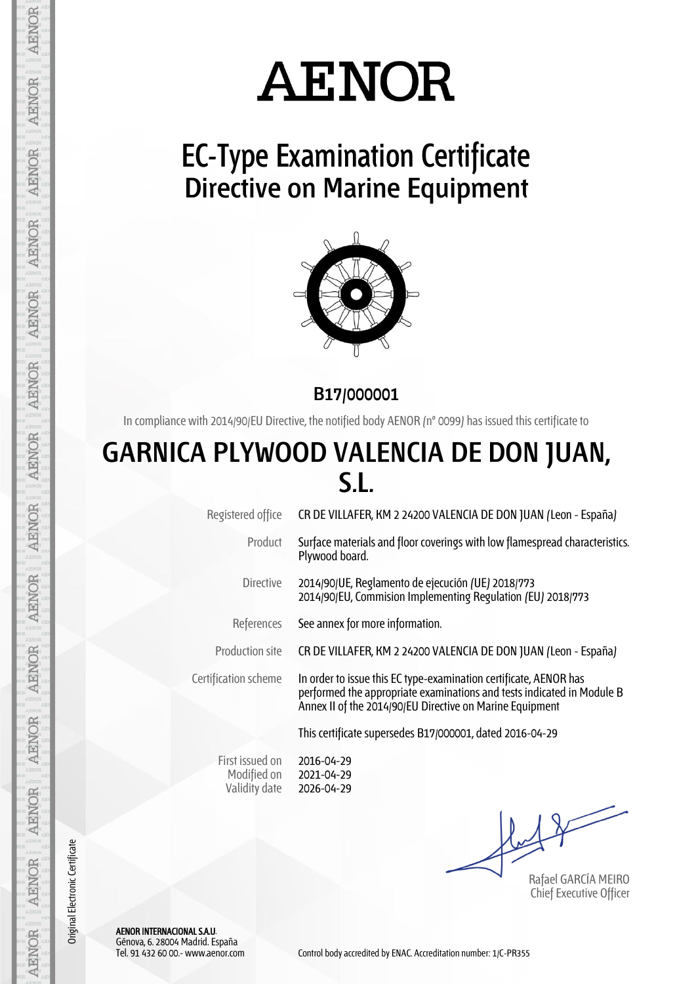# **AENOR**

## **EC-Type Examination Certificate Directive on Marine Equipment**



**B17/000001**

In compliance with 2014/90/EU Directive, the notified body AENOR (nº 0099) has issued this certificate to

### **GARNICA PLYWOOD VALENCIA DE DON JUAN, S.L.**

Registered office CR DE VILLAFER, KM 2 24200 VALENCIA DE DON JUAN (Leon - España)

Product Surface materials and floor coverings with low flamespread characteristics. Plywood board.

Directive 2014/90/UE, Reglamento de ejecución (UE) 2018/773 2014/90/EU, Commision Implementing Regulation (EU) 2018/773

References See annex for more information.

Production site CR DE VILLAFER, KM 2 24200 VALENCIA DE DON JUAN (Leon - España)

Certification scheme In order to issue this EC type-examination certificate, AENOR has performed the appropriate examinations and tests indicated in Module B Annex II of the 2014/90/EU Directive on Marine Equipment

This certificate supersedes B17/000001, dated 2016-04-29

First issued on Modified on Validity date

2016-04-29 2021-04-29 2026-04-29

Rafael GARCÍA MEIRO Chief Executive Officer

AENOR INTERNACIONAL S.A.U. Génova, 6. 28004 Madrid. España

AENOR

**AENOR** 

**AENOR** 

**AENOR** 

AENOR

**AENOR** 

AENOR

AENOR

**AENOR** 

**AENOR** 

**AENOR** 

**AENOR** 

**AENOR** 

**AENOR** 

Original Electronic Certificate

Original Electronic Certificate